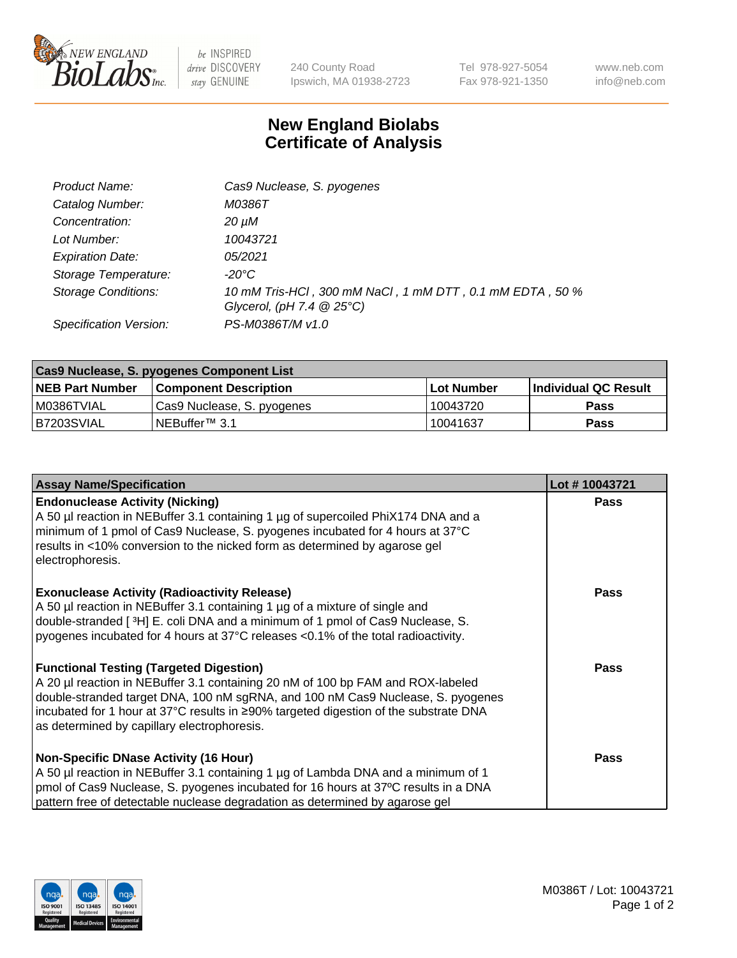

 $be$  INSPIRED drive DISCOVERY stay GENUINE

240 County Road Ipswich, MA 01938-2723 Tel 978-927-5054 Fax 978-921-1350 www.neb.com info@neb.com

## **New England Biolabs Certificate of Analysis**

| Product Name:              | Cas9 Nuclease, S. pyogenes                                                              |
|----------------------------|-----------------------------------------------------------------------------------------|
| Catalog Number:            | M0386T                                                                                  |
| Concentration:             | 20 µM                                                                                   |
| Lot Number:                | 10043721                                                                                |
| <b>Expiration Date:</b>    | 05/2021                                                                                 |
| Storage Temperature:       | -20°C                                                                                   |
| <b>Storage Conditions:</b> | 10 mM Tris-HCl, 300 mM NaCl, 1 mM DTT, 0.1 mM EDTA, 50 %<br>Glycerol, (pH 7.4 $@25°C$ ) |
| Specification Version:     | PS-M0386T/M v1.0                                                                        |

| Cas9 Nuclease, S. pyogenes Component List |                              |            |                      |  |  |
|-------------------------------------------|------------------------------|------------|----------------------|--|--|
| <b>NEB Part Number</b>                    | <b>Component Description</b> | Lot Number | Individual QC Result |  |  |
| I M0386TVIAL                              | Cas9 Nuclease, S. pyogenes   | 10043720   | <b>Pass</b>          |  |  |
| B7203SVIAL                                | INEBuffer™ 3.1               | 10041637   | Pass                 |  |  |

| <b>Assay Name/Specification</b>                                                                                                                                                                                                                                                                                                                              | Lot #10043721 |
|--------------------------------------------------------------------------------------------------------------------------------------------------------------------------------------------------------------------------------------------------------------------------------------------------------------------------------------------------------------|---------------|
| <b>Endonuclease Activity (Nicking)</b><br>A 50 µl reaction in NEBuffer 3.1 containing 1 µg of supercoiled PhiX174 DNA and a<br>minimum of 1 pmol of Cas9 Nuclease, S. pyogenes incubated for 4 hours at 37°C<br>results in <10% conversion to the nicked form as determined by agarose gel<br>electrophoresis.                                               | <b>Pass</b>   |
| <b>Exonuclease Activity (Radioactivity Release)</b><br>A 50 µl reaction in NEBuffer 3.1 containing 1 µg of a mixture of single and<br>double-stranded [ <sup>3</sup> H] E. coli DNA and a minimum of 1 pmol of Cas9 Nuclease, S.<br>pyogenes incubated for 4 hours at 37°C releases <0.1% of the total radioactivity.                                        | Pass          |
| <b>Functional Testing (Targeted Digestion)</b><br>A 20 µl reaction in NEBuffer 3.1 containing 20 nM of 100 bp FAM and ROX-labeled<br>double-stranded target DNA, 100 nM sgRNA, and 100 nM Cas9 Nuclease, S. pyogenes<br> incubated for 1 hour at 37°C results in ≥90% targeted digestion of the substrate DNA<br>as determined by capillary electrophoresis. | <b>Pass</b>   |
| <b>Non-Specific DNase Activity (16 Hour)</b><br>A 50 µl reaction in NEBuffer 3.1 containing 1 µg of Lambda DNA and a minimum of 1<br>pmol of Cas9 Nuclease, S. pyogenes incubated for 16 hours at 37°C results in a DNA<br>pattern free of detectable nuclease degradation as determined by agarose gel                                                      | <b>Pass</b>   |